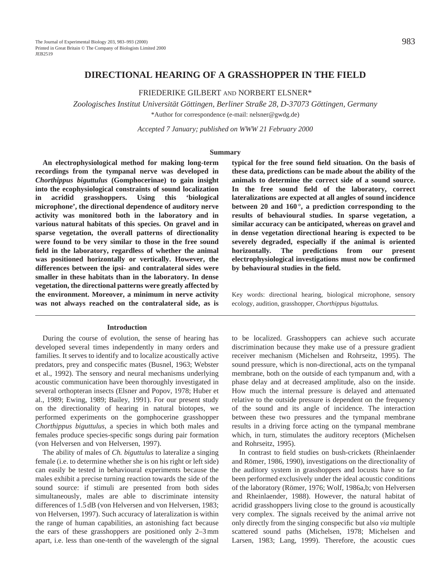# **DIRECTIONAL HEARING OF A GRASSHOPPER IN THE FIELD**

## FRIEDERIKE GILBERT AND NORBERT ELSNER\*

*Zoologisches Institut Universität Göttingen, Berliner Straße 28, D-37073 Göttingen, Germany* \*Author for correspondence (e-mail: nelsner@gwdg.de)

*Accepted 7 January; published on WWW 21 February 2000*

#### **Summary**

**An electrophysiological method for making long-term recordings from the tympanal nerve was developed in** *Chorthippus biguttulus* **(Gomphocerinae) to gain insight into the ecophysiological constraints of sound localization in acridid grasshoppers. Using this 'biological microphone', the directional dependence of auditory nerve activity was monitored both in the laboratory and in various natural habitats of this species. On gravel and in sparse vegetation, the overall patterns of directionality were found to be very similar to those in the free sound field in the laboratory, regardless of whether the animal was positioned horizontally or vertically. However, the differences between the ipsi- and contralateral sides were smaller in these habitats than in the laboratory. In dense vegetation, the directional patterns were greatly affected by the environment. Moreover, a minimum in nerve activity was not always reached on the contralateral side, as is**

#### **Introduction**

During the course of evolution, the sense of hearing has developed several times independently in many orders and families. It serves to identify and to localize acoustically active predators, prey and conspecific mates (Busnel, 1963; Webster et al., 1992). The sensory and neural mechanisms underlying acoustic communication have been thoroughly investigated in several orthopteran insects (Elsner and Popov, 1978; Huber et al., 1989; Ewing, 1989; Bailey, 1991). For our present study on the directionality of hearing in natural biotopes, we performed experiments on the gomphocerine grasshopper *Chorthippus biguttulus*, a species in which both males and females produce species-specific songs during pair formation (von Helversen and von Helversen, 1997).

The ability of males of *Ch. biguttulus* to lateralize a singing female (i.e. to determine whether she is on his right or left side) can easily be tested in behavioural experiments because the males exhibit a precise turning reaction towards the side of the sound source: if stimuli are presented from both sides simultaneously, males are able to discriminate intensity differences of 1.5 dB (von Helversen and von Helversen, 1983; von Helversen, 1997). Such accuracy of lateralization is within the range of human capabilities, an astonishing fact because the ears of these grasshoppers are positioned only 2–3 mm apart, i.e. less than one-tenth of the wavelength of the signal

**typical for the free sound field situation. On the basis of these data, predictions can be made about the ability of the animals to determine the correct side of a sound source. In the free sound field of the laboratory, correct lateralizations are expected at all angles of sound incidence between 20 and 160 °, a prediction corresponding to the results of behavioural studies. In sparse vegetation, a similar accuracy can be anticipated, whereas on gravel and in dense vegetation directional hearing is expected to be severely degraded, especially if the animal is oriented horizontally***.* **The predictions from our present electrophysiological investigations must now be confirmed by behavioural studies in the field.**

Key words: directional hearing, biological microphone, sensory ecology, audition, grasshopper, *Chorthippus biguttulus.*

to be localized. Grasshoppers can achieve such accurate discrimination because they make use of a pressure gradient receiver mechanism (Michelsen and Rohrseitz, 1995). The sound pressure, which is non-directional, acts on the tympanal membrane, both on the outside of each tympanum and, with a phase delay and at decreased amplitude, also on the inside. How much the internal pressure is delayed and attenuated relative to the outside pressure is dependent on the frequency of the sound and its angle of incidence. The interaction between these two pressures and the tympanal membrane results in a driving force acting on the tympanal membrane which, in turn, stimulates the auditory receptors (Michelsen and Rohrseitz, 1995).

In contrast to field studies on bush-crickets (Rheinlaender and Römer, 1986, 1990), investigations on the directionality of the auditory system in grasshoppers and locusts have so far been performed exclusively under the ideal acoustic conditions of the laboratory (Römer, 1976; Wolf, 1986a,b; von Helversen and Rheinlaender, 1988). However, the natural habitat of acridid grasshoppers living close to the ground is acoustically very complex. The signals received by the animal arrive not only directly from the singing conspecific but also *via* multiple scattered sound paths (Michelsen, 1978; Michelsen and Larsen, 1983; Lang, 1999). Therefore, the acoustic cues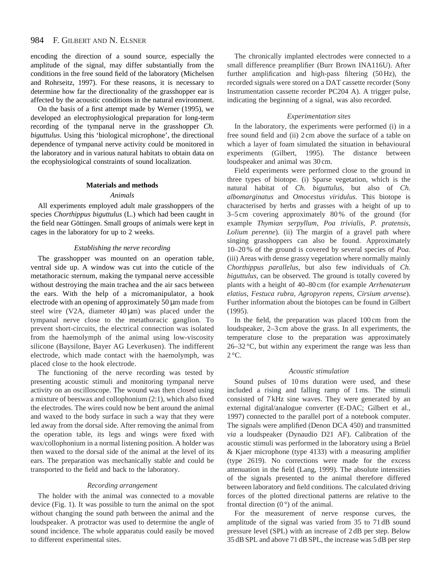#### 984 F. GILBERT AND N. ELSNER

encoding the direction of a sound source, especially the amplitude of the signal, may differ substantially from the conditions in the free sound field of the laboratory (Michelsen and Rohrseitz, 1997). For these reasons, it is necessary to determine how far the directionality of the grasshopper ear is affected by the acoustic conditions in the natural environment.

On the basis of a first attempt made by Werner (1995), we developed an electrophysiological preparation for long-term recording of the tympanal nerve in the grasshopper *Ch. biguttulus*. Using this 'biological microphone', the directional dependence of tympanal nerve activity could be monitored in the laboratory and in various natural habitats to obtain data on the ecophysiological constraints of sound localization.

## **Materials and methods**

### *Animals*

All experiments employed adult male grasshoppers of the species *Chorthippus biguttulus* (L.) which had been caught in the field near Göttingen. Small groups of animals were kept in cages in the laboratory for up to 2 weeks.

#### *Establishing the nerve recording*

The grasshopper was mounted on an operation table, ventral side up. A window was cut into the cuticle of the metathoracic sternum, making the tympanal nerve accessible without destroying the main trachea and the air sacs between the ears. With the help of a micromanipulator, a hook electrode with an opening of approximately  $50 \mu m$  made from steel wire (V2A, diameter  $40 \mu m$ ) was placed under the tympanal nerve close to the metathoracic ganglion. To prevent short-circuits, the electrical connection was isolated from the haemolymph of the animal using low-viscosity silicone (Baysilone, Bayer AG Leverkusen). The indifferent electrode, which made contact with the haemolymph, was placed close to the hook electrode.

The functioning of the nerve recording was tested by presenting acoustic stimuli and monitoring tympanal nerve activity on an oscilloscope. The wound was then closed using a mixture of beeswax and collophonium (2:1), which also fixed the electrodes. The wires could now be bent around the animal and waxed to the body surface in such a way that they were led away from the dorsal side. After removing the animal from the operation table, its legs and wings were fixed with wax/collophonium in a normal listening position. A holder was then waxed to the dorsal side of the animal at the level of its ears. The preparation was mechanically stable and could be transported to the field and back to the laboratory.

#### *Recording arrangement*

The holder with the animal was connected to a movable device (Fig. 1). It was possible to turn the animal on the spot without changing the sound path between the animal and the loudspeaker. A protractor was used to determine the angle of sound incidence. The whole apparatus could easily be moved to different experimental sites.

The chronically implanted electrodes were connected to a small difference preamplifier (Burr Brown INA116U). After further amplification and high-pass filtering (50 Hz), the recorded signals were stored on a DAT cassette recorder (Sony Instrumentation cassette recorder PC204 A). A trigger pulse, indicating the beginning of a signal, was also recorded.

#### *Experimentation sites*

In the laboratory, the experiments were performed (i) in a free sound field and (ii) 2 cm above the surface of a table on which a layer of foam simulated the situation in behavioural experiments (Gilbert, 1995). The distance between loudspeaker and animal was 30 cm.

Field experiments were performed close to the ground in three types of biotope. (i) Sparse vegetation, which is the natural habitat of *Ch. biguttulus*, but also of *Ch. albomarginatus* and *Omocestus viridulus.* This biotope is characterised by herbs and grasses with a height of up to 3–5 cm covering approximately 80 % of the ground (for example *Thymian serpyllum*, *Poa trivialis*, *P. pratensis*, *Lolium perenne*). (ii) The margin of a gravel path where singing grasshoppers can also be found. Approximately 10–20 % of the ground is covered by several species of *Poa*. (iii) Areas with dense grassy vegetation where normally mainly *Chorthippus parallelus*, but also few individuals of *Ch. biguttulus*, can be observed. The ground is totally covered by plants with a height of 40–80 cm (for example *Arrhenaterum elatius*, *Festuca rubra*, *Agropyron repens*, *Cirsium arvense*). Further information about the biotopes can be found in Gilbert (1995).

In the field, the preparation was placed 100 cm from the loudspeaker, 2–3 cm above the grass. In all experiments, the temperature close to the preparation was approximately  $26-32$  °C, but within any experiment the range was less than  $2^{\circ}$ C.

#### *Acoustic stimulation*

Sound pulses of 10 ms duration were used, and these included a rising and falling ramp of 1 ms. The stimuli consisted of 7 kHz sine waves. They were generated by an external digital/analogue converter (E-DAC; Gilbert et al., 1997) connected to the parallel port of a notebook computer. The signals were amplified (Denon DCA 450) and transmitted *via* a loudspeaker (Dynaudio D21 AF). Calibration of the acoustic stimuli was performed in the laboratory using a Brüel & Kjaer microphone (type 4133) with a measuring amplifier (type 2619). No corrections were made for the excess attenuation in the field (Lang, 1999). The absolute intensities of the signals presented to the animal therefore differed between laboratory and field conditions. The calculated driving forces of the plotted directional patterns are relative to the frontal direction  $(0^{\circ})$  of the animal.

For the measurement of nerve response curves, the amplitude of the signal was varied from 35 to 71 dB sound pressure level (SPL) with an increase of 2 dB per step. Below 35 dB SPL and above 71 dB SPL, the increase was 5 dB per step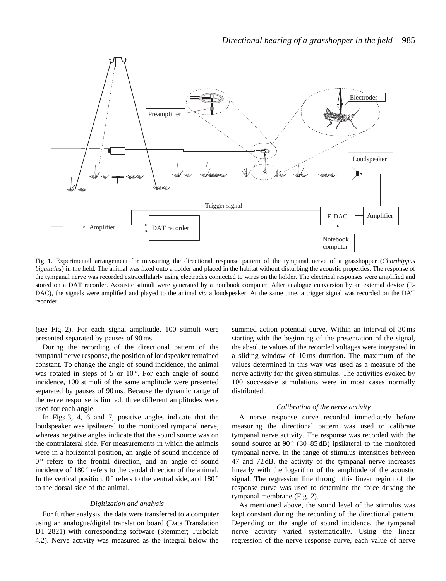

Fig. 1. Experimental arrangement for measuring the directional response pattern of the tympanal nerve of a grasshopper (*Chorthippus biguttulus*) in the field. The animal was fixed onto a holder and placed in the habitat without disturbing the acoustic properties. The response of the tympanal nerve was recorded extracellularly using electrodes connected to wires on the holder. The electrical responses were amplified and stored on a DAT recorder. Acoustic stimuli were generated by a notebook computer. After analogue conversion by an external device (E-DAC), the signals were amplified and played to the animal *via* a loudspeaker. At the same time, a trigger signal was recorded on the DAT recorder.

(see Fig. 2). For each signal amplitude, 100 stimuli were presented separated by pauses of 90 ms.

During the recording of the directional pattern of the tympanal nerve response, the position of loudspeaker remained constant. To change the angle of sound incidence, the animal was rotated in steps of 5 or  $10^{\circ}$ . For each angle of sound incidence, 100 stimuli of the same amplitude were presented separated by pauses of 90 ms. Because the dynamic range of the nerve response is limited, three different amplitudes were used for each angle.

In Figs 3, 4, 6 and 7, positive angles indicate that the loudspeaker was ipsilateral to the monitored tympanal nerve, whereas negative angles indicate that the sound source was on the contralateral side. For measurements in which the animals were in a horizontal position, an angle of sound incidence of  $0^{\circ}$  refers to the frontal direction, and an angle of sound incidence of 180 ° refers to the caudal direction of the animal. In the vertical position,  $0^{\circ}$  refers to the ventral side, and 180 $^{\circ}$ to the dorsal side of the animal.

#### *Digitization and analysis*

For further analysis, the data were transferred to a computer using an analogue/digital translation board (Data Translation DT 2821) with corresponding software (Stemmer; Turbolab 4.2). Nerve activity was measured as the integral below the

summed action potential curve. Within an interval of 30 ms starting with the beginning of the presentation of the signal, the absolute values of the recorded voltages were integrated in a sliding window of 10 ms duration. The maximum of the values determined in this way was used as a measure of the nerve activity for the given stimulus. The activities evoked by 100 successive stimulations were in most cases normally distributed.

#### *Calibration of the nerve activity*

A nerve response curve recorded immediately before measuring the directional pattern was used to calibrate tympanal nerve activity. The response was recorded with the sound source at  $90^{\circ}$  (30–85 dB) ipsilateral to the monitored tympanal nerve. In the range of stimulus intensities between 47 and 72 dB, the activity of the tympanal nerve increases linearly with the logarithm of the amplitude of the acoustic signal. The regression line through this linear region of the response curve was used to determine the force driving the tympanal membrane (Fig. 2).

As mentioned above, the sound level of the stimulus was kept constant during the recording of the directional pattern. Depending on the angle of sound incidence, the tympanal nerve activity varied systematically. Using the linear regression of the nerve response curve, each value of nerve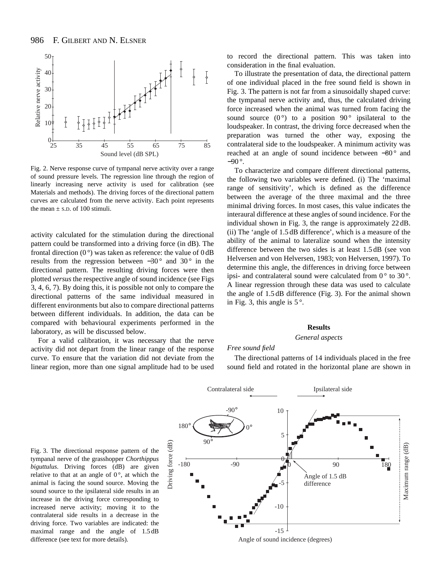

Fig. 2. Nerve response curve of tympanal nerve activity over a range of sound pressure levels. The regression line through the region of linearly increasing nerve activity is used for calibration (see Materials and methods). The driving forces of the directional pattern curves are calculated from the nerve activity. Each point represents the mean  $\pm$  s.D. of 100 stimuli.

activity calculated for the stimulation during the directional pattern could be transformed into a driving force (in dB). The frontal direction  $(0^{\circ})$  was taken as reference: the value of  $0 dB$ results from the regression between  $-30^\circ$  and  $30^\circ$  in the directional pattern. The resulting driving forces were then plotted *versus* the respective angle of sound incidence (see Figs 3, 4, 6, 7). By doing this, it is possible not only to compare the directional patterns of the same individual measured in different environments but also to compare directional patterns between different individuals. In addition, the data can be compared with behavioural experiments performed in the laboratory, as will be discussed below.

For a valid calibration, it was necessary that the nerve activity did not depart from the linear range of the response curve. To ensure that the variation did not deviate from the linear region, more than one signal amplitude had to be used to record the directional pattern. This was taken into consideration in the final evaluation.

To illustrate the presentation of data, the directional pattern of one individual placed in the free sound field is shown in Fig. 3. The pattern is not far from a sinusoidally shaped curve: the tympanal nerve activity and, thus, the calculated driving force increased when the animal was turned from facing the sound source  $(0^{\circ})$  to a position  $90^{\circ}$  ipsilateral to the loudspeaker. In contrast, the driving force decreased when the preparation was turned the other way, exposing the contralateral side to the loudspeaker. A minimum activity was reached at an angle of sound incidence between −80 ° and −90 °.

To characterize and compare different directional patterns, the following two variables were defined. (i) The 'maximal range of sensitivity', which is defined as the difference between the average of the three maximal and the three minimal driving forces. In most cases, this value indicates the interaural difference at these angles of sound incidence. For the individual shown in Fig. 3, the range is approximately 22 dB. (ii) The 'angle of 1.5 dB difference', which is a measure of the ability of the animal to lateralize sound when the intensity difference between the two sides is at least 1.5 dB (see von Helversen and von Helversen, 1983; von Helversen, 1997). To determine this angle, the differences in driving force between ipsi- and contralateral sound were calculated from  $0^{\circ}$  to  $30^{\circ}$ . A linear regression through these data was used to calculate the angle of 1.5 dB difference (Fig. 3). For the animal shown in Fig. 3, this angle is  $5^\circ$ .

#### **Results**

#### *General aspects*

### *Free sound field*

The directional patterns of 14 individuals placed in the free sound field and rotated in the horizontal plane are shown in



Fig. 3. The directional response pattern of the tympanal nerve of the grasshopper *Chorthippus biguttulus*. Driving forces (dB) are given relative to that at an angle of  $0^\circ$ , at which the animal is facing the sound source. Moving the sound source to the ipsilateral side results in an increase in the driving force corresponding to increased nerve activity; moving it to the contralateral side results in a decrease in the driving force. Two variables are indicated: the maximal range and the angle of 1.5 dB difference (see text for more details).

Angle of sound incidence (degrees)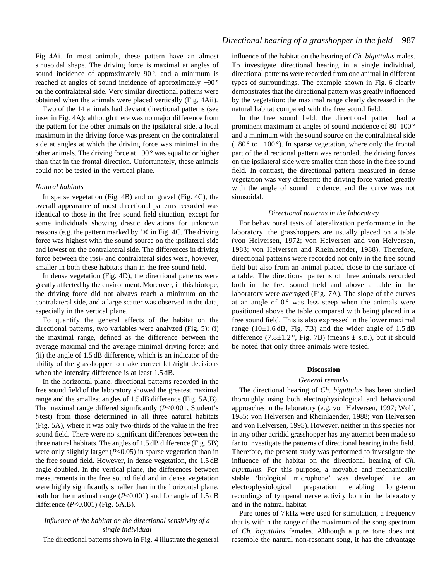Fig. 4Ai. In most animals, these pattern have an almost sinusoidal shape. The driving force is maximal at angles of sound incidence of approximately  $90^\circ$ , and a minimum is reached at angles of sound incidence of approximately −90 ° on the contralateral side. Very similar directional patterns were obtained when the animals were placed vertically (Fig. 4Aii).

Two of the 14 animals had deviant directional patterns (see inset in Fig. 4A): although there was no major difference from the pattern for the other animals on the ipsilateral side, a local maximum in the driving force was present on the contralateral side at angles at which the driving force was minimal in the other animals. The driving force at −90 ° was equal to or higher than that in the frontal direction. Unfortunately, these animals could not be tested in the vertical plane.

#### *Natural habitats*

In sparse vegetation (Fig. 4B) and on gravel (Fig. 4C), the overall appearance of most directional patterns recorded was identical to those in the free sound field situation, except for some individuals showing drastic deviations for unknown reasons (e.g. the pattern marked by  $\forall$  in Fig. 4C. The driving force was highest with the sound source on the ipsilateral side and lowest on the contralateral side. The differences in driving force between the ipsi- and contralateral sides were, however, smaller in both these habitats than in the free sound field.

In dense vegetation (Fig. 4D), the directional patterns were greatly affected by the environment. Moreover, in this biotope, the driving force did not always reach a minimum on the contralateral side, and a large scatter was observed in the data, especially in the vertical plane.

To quantify the general effects of the habitat on the directional patterns, two variables were analyzed (Fig. 5): (i) the maximal range, defined as the difference between the average maximal and the average minimal driving force; and (ii) the angle of 1.5 dB difference, which is an indicator of the ability of the grasshopper to make correct left/right decisions when the intensity difference is at least 1.5 dB.

In the horizontal plane, directional patterns recorded in the free sound field of the laboratory showed the greatest maximal range and the smallest angles of 1.5 dB difference (Fig. 5A,B). The maximal range differed significantly (*P*<0.001, Student's *t*-test) from those determined in all three natural habitats (Fig. 5A), where it was only two-thirds of the value in the free sound field. There were no significant differences between the three natural habitats. The angles of 1.5 dB difference (Fig. 5B) were only slightly larger (*P*<0.05) in sparse vegetation than in the free sound field. However, in dense vegetation, the 1.5 dB angle doubled. In the vertical plane, the differences between measurements in the free sound field and in dense vegetation were highly significantly smaller than in the horizontal plane, both for the maximal range  $(P<0.001)$  and for angle of 1.5 dB difference (*P*<0.001) (Fig. 5A,B).

## *Influence of the habitat on the directional sensitivity of a single individual*

The directional patterns shown in Fig. 4 illustrate the general

influence of the habitat on the hearing of *Ch. biguttulus* males. To investigate directional hearing in a single individual, directional patterns were recorded from one animal in different types of surroundings. The example shown in Fig. 6 clearly demonstrates that the directional pattern was greatly influenced by the vegetation: the maximal range clearly decreased in the natural habitat compared with the free sound field.

In the free sound field, the directional pattern had a prominent maximum at angles of sound incidence of 80–100 ° and a minimum with the sound source on the contralateral side  $(-80^\circ$  to  $-100^\circ)$ . In sparse vegetation, where only the frontal part of the directional pattern was recorded, the driving forces on the ipsilateral side were smaller than those in the free sound field. In contrast, the directional pattern measured in dense vegetation was very different: the driving force varied greatly with the angle of sound incidence, and the curve was not sinusoidal.

## *Directional patterns in the laboratory*

For behavioural tests of lateralization performance in the laboratory, the grasshoppers are usually placed on a table (von Helversen, 1972; von Helversen and von Helversen, 1983; von Helversen and Rheinlaender, 1988). Therefore, directional patterns were recorded not only in the free sound field but also from an animal placed close to the surface of a table. The directional patterns of three animals recorded both in the free sound field and above a table in the laboratory were averaged (Fig. 7A). The slope of the curves at an angle of  $0^{\circ}$  was less steep when the animals were positioned above the table compared with being placed in a free sound field. This is also expressed in the lower maximal range ( $10\pm1.6$  dB, Fig. 7B) and the wider angle of  $1.5$  dB difference  $(7.8\pm1.2^{\circ}, \text{Fig. 7B})$  (means  $\pm$  s.D.), but it should be noted that only three animals were tested.

#### **Discussion**

#### *General remarks*

The directional hearing of *Ch. biguttulus* has been studied thoroughly using both electrophysiological and behavioural approaches in the laboratory (e.g. von Helversen, 1997; Wolf, 1985; von Helversen and Rheinlaender, 1988; von Helversen and von Helversen, 1995). However, neither in this species nor in any other acridid grasshopper has any attempt been made so far to investigate the patterns of directional hearing in the field. Therefore, the present study was performed to investigate the influence of the habitat on the directional hearing of *Ch. biguttulus*. For this purpose, a movable and mechanically stable 'biological microphone' was developed, i.e. an electrophysiological preparation enabling long-term recordings of tympanal nerve activity both in the laboratory and in the natural habitat.

Pure tones of 7 kHz were used for stimulation, a frequency that is within the range of the maximum of the song spectrum of *Ch. biguttulus* females. Although a pure tone does not resemble the natural non-resonant song, it has the advantage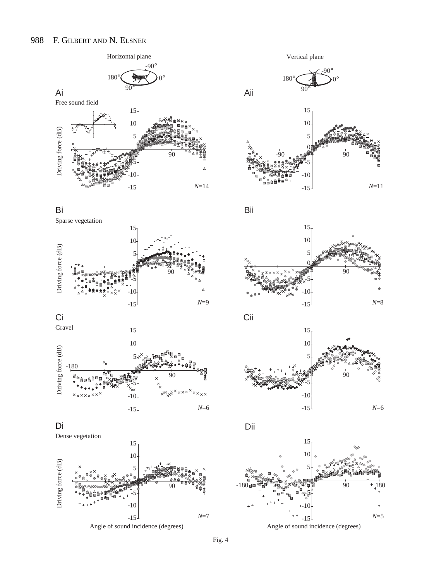

















Vertical plane















Angle of sound incidence (degrees)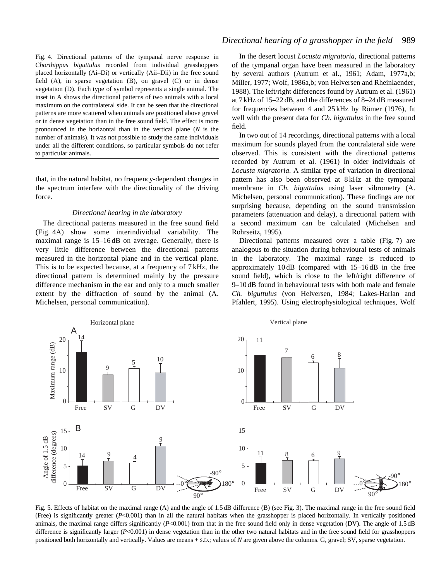Fig. 4. Directional patterns of the tympanal nerve response in *Chorthippus biguttulus* recorded from individual grasshoppers placed horizontally (Ai–Di) or vertically (Aii–Dii) in the free sound field (A), in sparse vegetation (B), on gravel (C) or in dense vegetation (D). Each type of symbol represents a single animal. The inset in A shows the directional patterns of two animals with a local maximum on the contralateral side. It can be seen that the directional patterns are more scattered when animals are positioned above gravel or in dense vegetation than in the free sound field. The effect is more pronounced in the horizontal than in the vertical plane (*N* is the number of animals). It was not possible to study the same individuals under all the different conditions, so particular symbols do not refer to particular animals.

that, in the natural habitat, no frequency-dependent changes in the spectrum interfere with the directionality of the driving force.

#### *Directional hearing in the laboratory*

The directional patterns measured in the free sound field (Fig. 4A) show some interindividual variability. The maximal range is  $15-16$  dB on average. Generally, there is very little difference between the directional patterns measured in the horizontal plane and in the vertical plane. This is to be expected because, at a frequency of 7 kHz, the directional pattern is determined mainly by the pressure difference mechanism in the ear and only to a much smaller extent by the diffraction of sound by the animal (A. Michelsen, personal communication).

# *Directional hearing of a grasshopper in the field* 989

In the desert locust *Locusta migratoria*, directional patterns of the tympanal organ have been measured in the laboratory by several authors (Autrum et al., 1961; Adam, 1977a,b; Miller, 1977; Wolf, 1986a,b; von Helversen and Rheinlaender, 1988). The left/right differences found by Autrum et al. (1961) at 7 kHz of 15–22 dB, and the differences of 8–24 dB measured for frequencies between 4 and 25 kHz by Römer (1976), fit well with the present data for *Ch. biguttulus* in the free sound field.

In two out of 14 recordings, directional patterns with a local maximum for sounds played from the contralateral side were observed. This is consistent with the directional patterns recorded by Autrum et al. (1961) in older individuals of *Locusta migratoria*. A similar type of variation in directional pattern has also been observed at 8 kHz at the tympanal membrane in *Ch. biguttulus* using laser vibrometry (A. Michelsen, personal communication). These findings are not surprising because, depending on the sound transmission parameters (attenuation and delay), a directional pattern with a second maximum can be calculated (Michelsen and Rohrseitz, 1995).

Directional patterns measured over a table (Fig. 7) are analogous to the situation during behavioural tests of animals in the laboratory. The maximal range is reduced to approximately 10 dB (compared with 15–16 dB in the free sound field), which is close to the left/right difference of 9–10 dB found in behavioural tests with both male and female *Ch. biguttulus* (von Helversen, 1984; Lakes-Harlan and Pfahlert, 1995). Using electrophysiological techniques, Wolf



Fig. 5. Effects of habitat on the maximal range (A) and the angle of 1.5 dB difference (B) (see Fig. 3). The maximal range in the free sound field (Free) is significantly greater (*P*<0.001) than in all the natural habitats when the grasshopper is placed horizontally. In vertically positioned animals, the maximal range differs significantly (*P<*0.001) from that in the free sound field only in dense vegetation (DV). The angle of 1.5 dB difference is significantly larger (*P*<0.001) in dense vegetation than in the other two natural habitats and in the free sound field for grasshoppers positioned both horizontally and vertically. Values are means + S.D.; values of *N* are given above the columns. G, gravel; SV, sparse vegetation.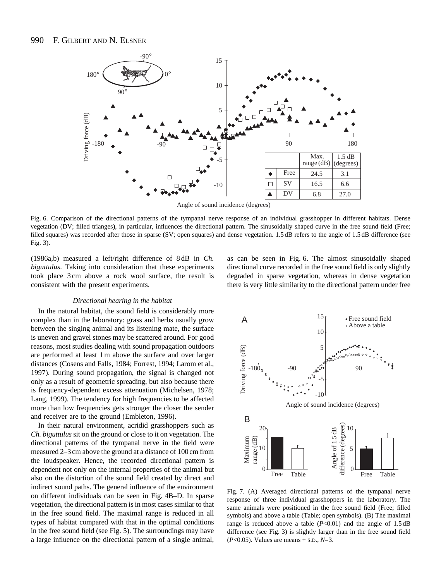

Angle of sound incidence (degrees)

Fig. 6. Comparison of the directional patterns of the tympanal nerve response of an individual grasshopper in different habitats. Dense vegetation (DV; filled trianges), in particular, influences the directional pattern. The sinusoidally shaped curve in the free sound field (Free; filled squares) was recorded after those in sparse (SV; open squares) and dense vegetation. 1.5 dB refers to the angle of 1.5 dB difference (see Fig. 3).

(1986a,b) measured a left/right difference of 8 dB in *Ch. biguttulus*. Taking into consideration that these experiments took place 3 cm above a rock wool surface, the result is consistent with the present experiments.

#### *Directional hearing in the habitat*

In the natural habitat, the sound field is considerably more complex than in the laboratory: grass and herbs usually grow between the singing animal and its listening mate, the surface is uneven and gravel stones may be scattered around. For good reasons, most studies dealing with sound propagation outdoors are performed at least 1 m above the surface and over larger distances (Cosens and Falls, 1984; Forrest, 1994; Larom et al., 1997). During sound propagation, the signal is changed not only as a result of geometric spreading, but also because there is frequency-dependent excess attenuation (Michelsen, 1978; Lang, 1999). The tendency for high frequencies to be affected more than low frequencies gets stronger the closer the sender and receiver are to the ground (Embleton, 1996).

In their natural environment, acridid grasshoppers such as *Ch. biguttulus* sit on the ground or close to it on vegetation. The directional patterns of the tympanal nerve in the field were measured 2–3 cm above the ground at a distance of 100 cm from the loudspeaker. Hence, the recorded directional pattern is dependent not only on the internal properties of the animal but also on the distortion of the sound field created by direct and indirect sound paths. The general influence of the environment on different individuals can be seen in Fig. 4B–D. In sparse vegetation, the directional pattern is in most cases similar to that in the free sound field. The maximal range is reduced in all types of habitat compared with that in the optimal conditions in the free sound field (see Fig. 5). The surroundings may have a large influence on the directional pattern of a single animal,



Fig. 7. (A) Averaged directional patterns of the tympanal nerve response of three individual grasshoppers in the laboratory. The same animals were positioned in the free sound field (Free; filled symbols) and above a table (Table; open symbols). (B) The maximal range is reduced above a table (*P*<0.01) and the angle of 1.5 dB difference (see Fig. 3) is slightly larger than in the free sound field (*P*<0.05). Values are means + S.D., *N*=3.

as can be seen in Fig. 6. The almost sinusoidally shaped directional curve recorded in the free sound field is only slightly degraded in sparse vegetation, whereas in dense vegetation there is very little similarity to the directional pattern under free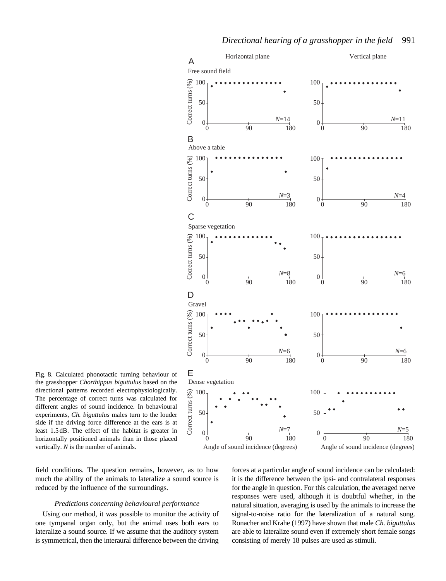

Fig. 8. Calculated phonotactic turning behaviour of E the grasshopper *Chorthippus biguttulus* based on the directional patterns recorded electrophysiologically. The percentage of correct turns was calculated for different angles of sound incidence. In behavioural experiments, *Ch. biguttulus* males turn to the louder side if the driving force difference at the ears is at least 1.5 dB. The effect of the habitat is greater in horizontally positioned animals than in those placed vertically. *N* is the number of animals.

field conditions. The question remains, however, as to how much the ability of the animals to lateralize a sound source is reduced by the influence of the surroundings.

## *Predictions concerning behavioural performance*

Using our method, it was possible to monitor the activity of one tympanal organ only, but the animal uses both ears to lateralize a sound source. If we assume that the auditory system is symmetrical, then the interaural difference between the driving

forces at a particular angle of sound incidence can be calculated: it is the difference between the ipsi- and contralateral responses for the angle in question. For this calculation, the averaged nerve responses were used, although it is doubtful whether, in the natural situation, averaging is used by the animals to increase the signal-to-noise ratio for the lateralization of a natural song. Ronacher and Krahe (1997) have shown that male *Ch. biguttulus* are able to lateralize sound even if extremely short female songs consisting of merely 18 pulses are used as stimuli.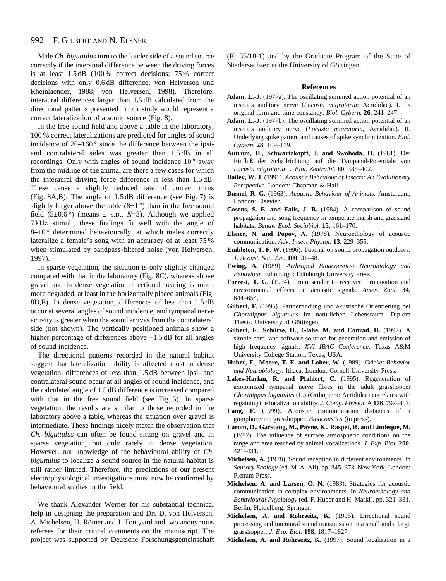Male *Ch. biguttulus* turn to the louder side of a sound source correctly if the interaural difference between the driving forces is at least 1.5 dB (100 % correct decisions; 75 % correct decisions with only 0.6 dB difference; von Helversen und Rheinlaender, 1988; von Helversen, 1998). Therefore, interaural differences larger than 1.5 dB calculated from the directional patterns presented in our study would represent a correct lateralization of a sound source (Fig. 8).

In the free sound field and above a table in the laboratory, 100 % correct lateralizations are predicted for angles of sound incidence of  $20-160^\circ$  since the difference between the ipsiand contralateral sides was greater than 1.5 dB in all recordings. Only with angles of sound incidence  $10^{\circ}$  away from the midline of the animal are there a few cases for which the interaural driving force difference is less than 1.5 dB. These cause a slightly reduced rate of correct turns (Fig. 8A,B). The angle of 1.5 dB difference (see Fig. 7) is slightly larger above the table  $(8\pm1)$ <sup>o</sup>) than in the free sound field  $(5\pm0.6^{\circ})$  (means  $\pm$  s.p.,  $N=3$ ). Although we applied 7 kHz stimuli, these findings fit well with the angle of  $8-10$ <sup>o</sup> determined behaviourally, at which males correctly lateralize a female's song with an accuracy of at least 75 % when stimulated by bandpass-filtered noise (von Helversen, 1997).

In sparse vegetation, the situation is only slightly changed compared with that in the laboratory (Fig. 8C), whereas above gravel and in dense vegetation directional hearing is much more degraded, at least in the horizontally placed animals (Fig. 8D,E). In dense vegetation, differences of less than 1.5 dB occur at several angles of sound incidence, and tympanal nerve activity is greater when the sound arrives from the contralateral side (not shown). The vertically positioned animals show a higher percentage of differences above  $+1.5$  dB for all angles of sound incidence.

The directional patterns recorded in the natural habitat suggest that lateralization ability is affected most in dense vegetation: differences of less than 1.5 dB between ipsi- and contralateral sound occur at all angles of sound incidence, and the calculated angle of 1.5 dB difference is increased compared with that in the free sound field (see Fig. 5). In sparse vegetation, the results are similar to those recorded in the laboratory above a table, whereas the situation over gravel is intermediate. These findings nicely match the observation that *Ch. biguttulus* can often be found sitting on gravel and in sparse vegetation, but only rarely in dense vegetation. However, our knowledge of the behavioural ability of *Ch. biguttulus* to localize a sound source in the natural habitat is still rather limited. Therefore, the predictions of our present electrophysiological investigations must now be confirmed by behavioural studies in the field.

We thank Alexander Werner for his substantial technical help in designing the preparation and Drs D. von Helversen, A. Michelsen, H. Römer and J. Tougaard and two anonymous referees for their critical comments on the manuscript. The project was supported by Deutsche Forschungsgemeinschaft

(El 35/18-1) and by the Graduate Program of the State of Niedersachsen at the University of Göttingen.

#### **References**

- **Adam, L.-J.** (1977a). The oscillating summed action potential of an insect's auditory nerve (*Locusta migratoria*; Acrididae). I. Its original form and time constancy. *Biol. Cybern.* **26**, 241–247.
- **Adam, L.-J.** (1977b). The oscillating summed action potential of an insect's auditory nerve (*Locusta migratoria*, Acrididae). II. Underlying spike pattern and causes of spike synchronization. *Biol. Cybern.* **28**, 109–119.
- **Autrum, H., Schwartzkopff, J. and Swoboda, H.** (1961). Der Einfluß der Schallrichtung auf die Tympanal-Potentiale von *Locusta migratoria* L. *Biol. Zentralbl.* **80**, 385–402.
- **Bailey, W. J.** (1991). *Acoustic Behaviour of Insects: An Evolutionary Perspective*. London: Chapman & Hall.
- **Busnel, R.-G.** (1963). *Acoustic Behaviour of Animals*. Amsterdam, London: Elsevier.
- **Cosens, S. E. and Falls, J. B.** (1984). A comparison of sound propagation and song frequency in temperate marsh and grassland habitats. *Behav. Ecol. Sociobiol.* **15**, 161–170.
- **Elsner, N. and Popov, A.** (1978). Neuroethology of acoustic communication. *Adv. Insect Physiol.* **13**, 229–355.
- **Embleton, T. F. W.** (1996). Tutorial on sound propagation outdoors. *J. Acoust. Soc. Am*. **100**, 31–48.
- **Ewing, A.** (1989). *Arthropod Bioacoustics: Neurobiology and Behaviour*. Edinburgh: Edinburgh University Press.
- **Forrest, T. G.** (1994). From sender to receiver: Propagation and environmental effects on acoustic signals. *Amer. Zool.* **34**, 644–654.
- **Gilbert, F.** (1995). Partnerfindung und akustische Orientierung bei *Chorthippus biguttulus* im natürlichen Lebensraum. Diplom Thesis, University of Göttingen.
- **Gilbert, F., Schütze, H., Glahe, M. and Conrad, U.** (1997). A simple hard- and software solution for generation and emission of high frequency signals. *XVI IBAC Conference*. Texas A&M University College Station, Texas, USA.
- **Huber, F., Moore, T. E. and Loher, W.** (1989). *Cricket Behavior and Neurobiology*. Ithaca, London: Cornell University Press.
- **Lakes-Harlan, R. and Pfahlert, C.** (1995). Regeneration of axotomized tympanal nerve fibres in the adult grasshopper *Chorthippus biguttulus* (L.) (Orthoptera: Acrididae) correlates with regaining the localization ability. *J. Comp. Physiol.* A **176**, 797–807.
- **Lang, F.** (1999). Acoustic communication distances of a gomphocerine grasshopper. *Bioacoustics* (in press).
- **Larom, D., Garstang, M., Payne, K., Raspet, R. and Lindeque, M.** (1997). The influence of surface atmospheric conditions on the range and area reached by animal vocalizations. *J. Exp. Biol.* **200**, 421–431.
- **Michelsen, A.** (1978). Sound reception in different environments. In *Sensory Ecology* (ed. M. A. Ali), pp. 345–373. New York, London: Plenum Press.
- **Michelsen, A. and Larsen, O. N.** (1983). Strategies for acoustic communication in complex environments. In *Neuroethology and Behavioural Physiology* (ed. F. Huber and H. Markl), pp. 321–331. Berlin, Heidelberg: Springer.
- **Michelsen, A. and Rohrseitz, K.** (1995). Directional sound processing and interaural sound transmission in a small and a large grasshopper. *J. Exp. Biol.* **198**, 1817–1827.
- **Michelsen, A. and Rohrseitz, K.** (1997). Sound localisation in a